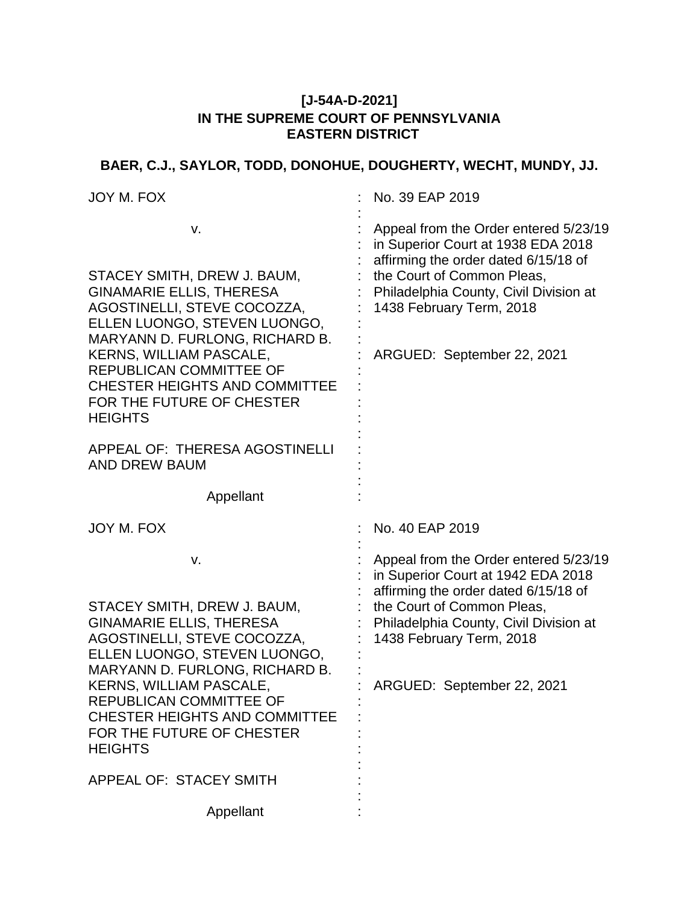### **[J-54A-D-2021] IN THE SUPREME COURT OF PENNSYLVANIA EASTERN DISTRICT**

# **BAER, C.J., SAYLOR, TODD, DONOHUE, DOUGHERTY, WECHT, MUNDY, JJ.**

| JOY M. FOX                                                                                                                                                                                                                                                                                                                       | No. 39 EAP 2019                                                                                                                                                                                                                                       |
|----------------------------------------------------------------------------------------------------------------------------------------------------------------------------------------------------------------------------------------------------------------------------------------------------------------------------------|-------------------------------------------------------------------------------------------------------------------------------------------------------------------------------------------------------------------------------------------------------|
| v.<br>STACEY SMITH, DREW J. BAUM,<br><b>GINAMARIE ELLIS, THERESA</b><br>AGOSTINELLI, STEVE COCOZZA,<br>ELLEN LUONGO, STEVEN LUONGO,<br>MARYANN D. FURLONG, RICHARD B.<br><b>KERNS, WILLIAM PASCALE,</b><br><b>REPUBLICAN COMMITTEE OF</b><br><b>CHESTER HEIGHTS AND COMMITTEE</b><br>FOR THE FUTURE OF CHESTER<br><b>HEIGHTS</b> | Appeal from the Order entered 5/23/19<br>in Superior Court at 1938 EDA 2018<br>affirming the order dated 6/15/18 of<br>the Court of Common Pleas,<br>Philadelphia County, Civil Division at<br>1438 February Term, 2018<br>ARGUED: September 22, 2021 |
| APPEAL OF: THERESA AGOSTINELLI<br>AND DREW BAUM                                                                                                                                                                                                                                                                                  |                                                                                                                                                                                                                                                       |
| Appellant                                                                                                                                                                                                                                                                                                                        |                                                                                                                                                                                                                                                       |
| JOY M. FOX                                                                                                                                                                                                                                                                                                                       | No. 40 EAP 2019                                                                                                                                                                                                                                       |
| v.<br>STACEY SMITH, DREW J. BAUM,<br><b>GINAMARIE ELLIS, THERESA</b><br>AGOSTINELLI, STEVE COCOZZA,<br>ELLEN LUONGO, STEVEN LUONGO,<br>MARYANN D. FURLONG, RICHARD B.<br><b>KERNS, WILLIAM PASCALE,</b><br>REPUBLICAN COMMITTEE OF<br><b>CHESTER HEIGHTS AND COMMITTEE</b><br>FOR THE FUTURE OF CHESTER<br><b>HEIGHTS</b>        | Appeal from the Order entered 5/23/19<br>in Superior Court at 1942 EDA 2018<br>affirming the order dated 6/15/18 of<br>the Court of Common Pleas,<br>Philadelphia County, Civil Division at<br>1438 February Term, 2018<br>ARGUED: September 22, 2021 |
| <b>APPEAL OF: STACEY SMITH</b>                                                                                                                                                                                                                                                                                                   |                                                                                                                                                                                                                                                       |
| Appellant                                                                                                                                                                                                                                                                                                                        |                                                                                                                                                                                                                                                       |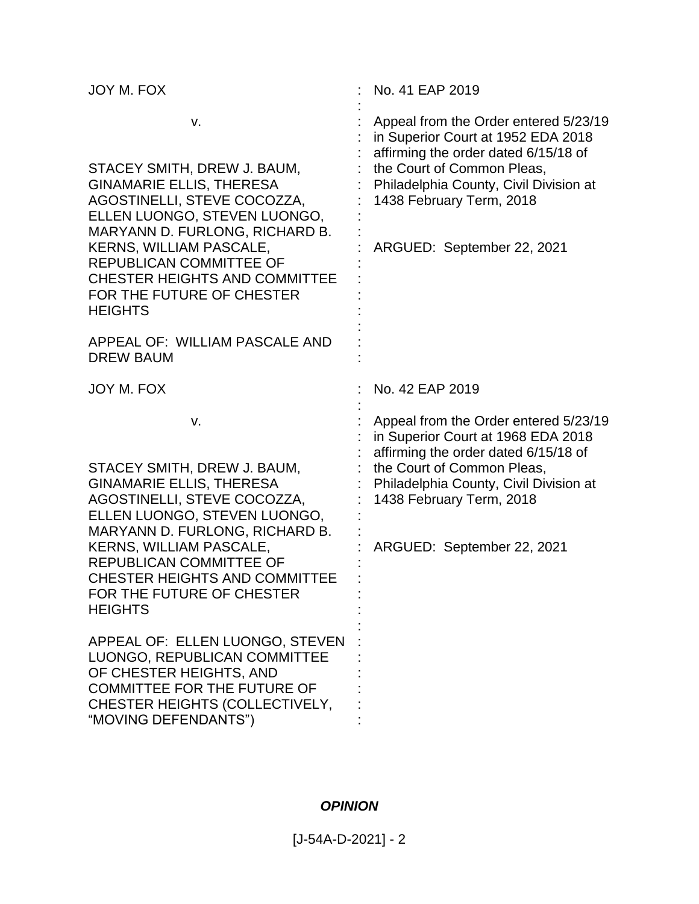| JOY M. FOX                                                                                                                                                                                                                                                                                                                                                                             | No. 41 EAP 2019                                                                                                                                                                                                                                       |
|----------------------------------------------------------------------------------------------------------------------------------------------------------------------------------------------------------------------------------------------------------------------------------------------------------------------------------------------------------------------------------------|-------------------------------------------------------------------------------------------------------------------------------------------------------------------------------------------------------------------------------------------------------|
| v.<br>STACEY SMITH, DREW J. BAUM,<br><b>GINAMARIE ELLIS, THERESA</b><br>AGOSTINELLI, STEVE COCOZZA,<br>ELLEN LUONGO, STEVEN LUONGO,<br>MARYANN D. FURLONG, RICHARD B.<br><b>KERNS, WILLIAM PASCALE,</b><br><b>REPUBLICAN COMMITTEE OF</b><br><b>CHESTER HEIGHTS AND COMMITTEE</b><br>FOR THE FUTURE OF CHESTER<br><b>HEIGHTS</b><br>APPEAL OF: WILLIAM PASCALE AND<br><b>DREW BAUM</b> | Appeal from the Order entered 5/23/19<br>in Superior Court at 1952 EDA 2018<br>affirming the order dated 6/15/18 of<br>the Court of Common Pleas,<br>Philadelphia County, Civil Division at<br>1438 February Term, 2018<br>ARGUED: September 22, 2021 |
| JOY M. FOX                                                                                                                                                                                                                                                                                                                                                                             | No. 42 EAP 2019                                                                                                                                                                                                                                       |
| v.<br>STACEY SMITH, DREW J. BAUM,<br><b>GINAMARIE ELLIS, THERESA</b><br>AGOSTINELLI, STEVE COCOZZA,<br>ELLEN LUONGO, STEVEN LUONGO,<br>MARYANN D. FURLONG, RICHARD B.<br><b>KERNS, WILLIAM PASCALE,</b><br>REPUBLICAN COMMITTEE OF<br><b>CHESTER HEIGHTS AND COMMITTEE</b><br>FOR THE FUTURE OF CHESTER<br><b>HEIGHTS</b>                                                              | Appeal from the Order entered 5/23/19<br>in Superior Court at 1968 EDA 2018<br>affirming the order dated 6/15/18 of<br>the Court of Common Pleas,<br>Philadelphia County, Civil Division at<br>1438 February Term, 2018<br>ARGUED: September 22, 2021 |
| APPEAL OF: ELLEN LUONGO, STEVEN<br>LUONGO, REPUBLICAN COMMITTEE<br>OF CHESTER HEIGHTS, AND<br><b>COMMITTEE FOR THE FUTURE OF</b><br>CHESTER HEIGHTS (COLLECTIVELY,<br>"MOVING DEFENDANTS")                                                                                                                                                                                             |                                                                                                                                                                                                                                                       |

## *OPINION*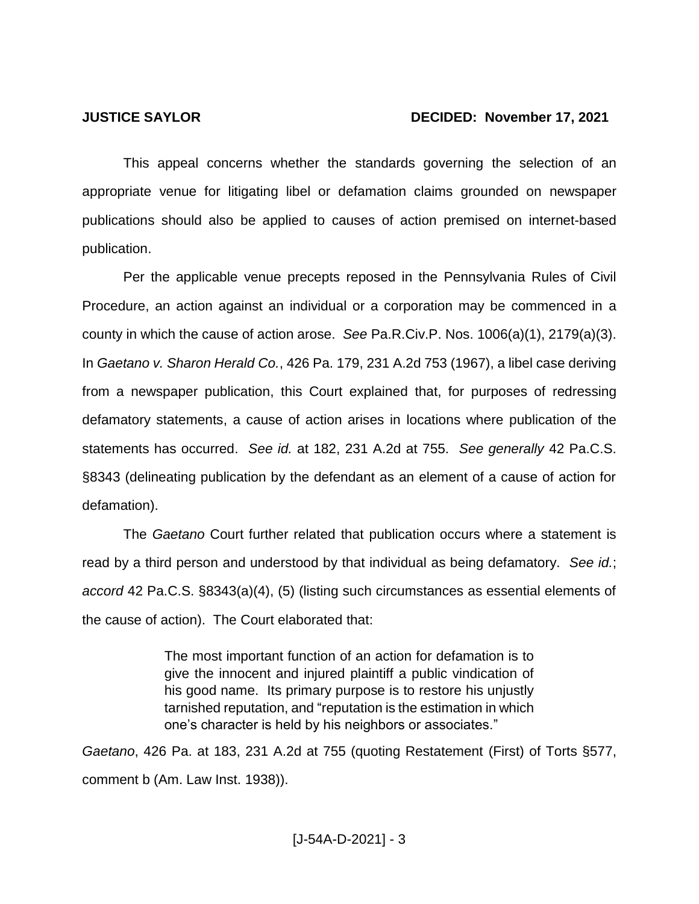#### **JUSTICE SAYLOR DECIDED: November 17, 2021**

This appeal concerns whether the standards governing the selection of an appropriate venue for litigating libel or defamation claims grounded on newspaper publications should also be applied to causes of action premised on internet-based publication.

Per the applicable venue precepts reposed in the Pennsylvania Rules of Civil Procedure, an action against an individual or a corporation may be commenced in a county in which the cause of action arose. *See* Pa.R.Civ.P. Nos. 1006(a)(1), 2179(a)(3). In *Gaetano v. Sharon Herald Co.*, 426 Pa. 179, 231 A.2d 753 (1967), a libel case deriving from a newspaper publication, this Court explained that, for purposes of redressing defamatory statements, a cause of action arises in locations where publication of the statements has occurred. *See id.* at 182, 231 A.2d at 755. *See generally* 42 Pa.C.S. §8343 (delineating publication by the defendant as an element of a cause of action for defamation).

The *Gaetano* Court further related that publication occurs where a statement is read by a third person and understood by that individual as being defamatory. *See id.*; *accord* 42 Pa.C.S. §8343(a)(4), (5) (listing such circumstances as essential elements of the cause of action). The Court elaborated that:

> The most important function of an action for defamation is to give the innocent and injured plaintiff a public vindication of his good name. Its primary purpose is to restore his unjustly tarnished reputation, and "reputation is the estimation in which one's character is held by his neighbors or associates."

*Gaetano*, 426 Pa. at 183, 231 A.2d at 755 (quoting Restatement (First) of Torts §577, comment b (Am. Law Inst. 1938)).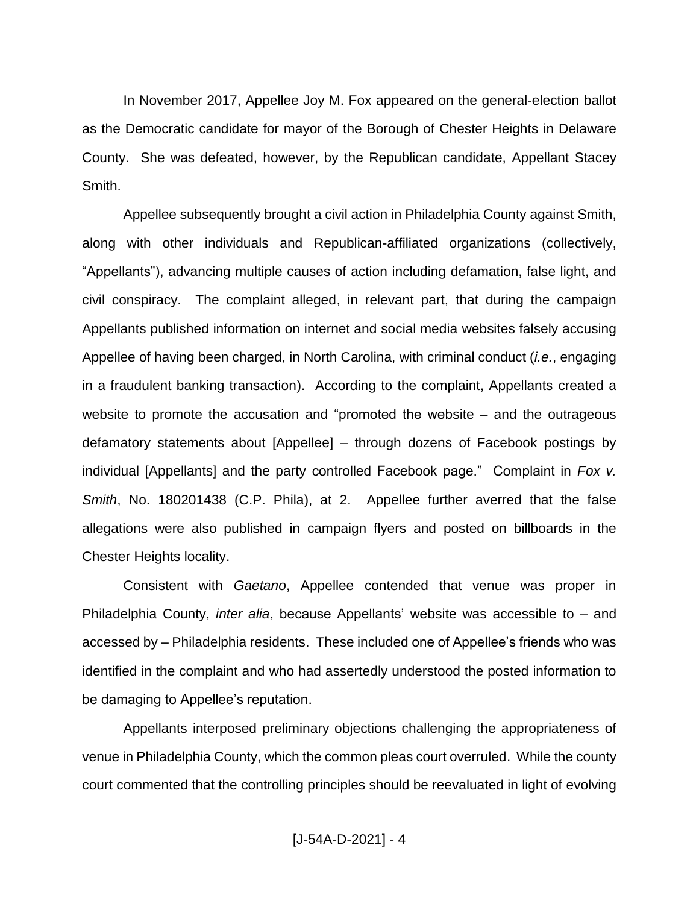In November 2017, Appellee Joy M. Fox appeared on the general-election ballot as the Democratic candidate for mayor of the Borough of Chester Heights in Delaware County. She was defeated, however, by the Republican candidate, Appellant Stacey Smith.

Appellee subsequently brought a civil action in Philadelphia County against Smith, along with other individuals and Republican-affiliated organizations (collectively, "Appellants"), advancing multiple causes of action including defamation, false light, and civil conspiracy. The complaint alleged, in relevant part, that during the campaign Appellants published information on internet and social media websites falsely accusing Appellee of having been charged, in North Carolina, with criminal conduct (*i.e.*, engaging in a fraudulent banking transaction). According to the complaint, Appellants created a website to promote the accusation and "promoted the website – and the outrageous defamatory statements about [Appellee] – through dozens of Facebook postings by individual [Appellants] and the party controlled Facebook page." Complaint in *Fox v. Smith*, No. 180201438 (C.P. Phila), at 2. Appellee further averred that the false allegations were also published in campaign flyers and posted on billboards in the Chester Heights locality.

Consistent with *Gaetano*, Appellee contended that venue was proper in Philadelphia County, *inter alia*, because Appellants' website was accessible to – and accessed by – Philadelphia residents. These included one of Appellee's friends who was identified in the complaint and who had assertedly understood the posted information to be damaging to Appellee's reputation.

Appellants interposed preliminary objections challenging the appropriateness of venue in Philadelphia County, which the common pleas court overruled. While the county court commented that the controlling principles should be reevaluated in light of evolving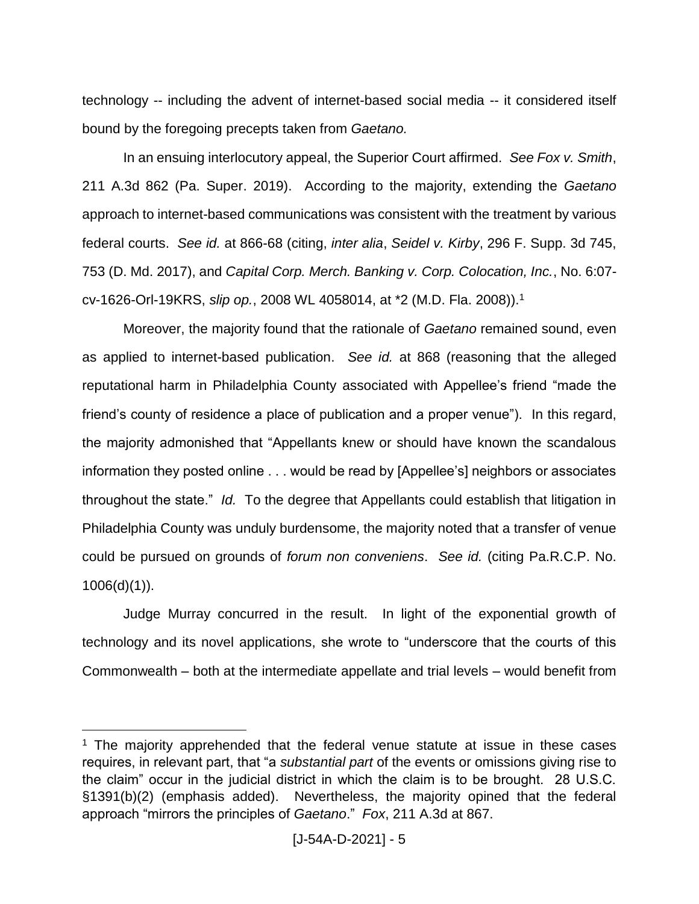technology -- including the advent of internet-based social media -- it considered itself bound by the foregoing precepts taken from *Gaetano.*

In an ensuing interlocutory appeal, the Superior Court affirmed. *See Fox v. Smith*, 211 A.3d 862 (Pa. Super. 2019). According to the majority, extending the *Gaetano* approach to internet-based communications was consistent with the treatment by various federal courts. *See id.* at 866-68 (citing, *inter alia*, *Seidel v. Kirby*, 296 F. Supp. 3d 745, 753 (D. Md. 2017), and *Capital Corp. Merch. Banking v. Corp. Colocation, Inc.*, No. 6:07 cv-1626-Orl-19KRS, *slip op.*, 2008 WL 4058014, at \*2 (M.D. Fla. 2008)). 1

Moreover, the majority found that the rationale of *Gaetano* remained sound, even as applied to internet-based publication. *See id.* at 868 (reasoning that the alleged reputational harm in Philadelphia County associated with Appellee's friend "made the friend's county of residence a place of publication and a proper venue"). In this regard, the majority admonished that "Appellants knew or should have known the scandalous information they posted online . . . would be read by [Appellee's] neighbors or associates throughout the state." *Id.* To the degree that Appellants could establish that litigation in Philadelphia County was unduly burdensome, the majority noted that a transfer of venue could be pursued on grounds of *forum non conveniens*. *See id.* (citing Pa.R.C.P. No.  $1006(d)(1)$ ).

Judge Murray concurred in the result. In light of the exponential growth of technology and its novel applications, she wrote to "underscore that the courts of this Commonwealth – both at the intermediate appellate and trial levels – would benefit from

 $\overline{a}$ 

<sup>&</sup>lt;sup>1</sup> The majority apprehended that the federal venue statute at issue in these cases requires, in relevant part, that "a *substantial part* of the events or omissions giving rise to the claim" occur in the judicial district in which the claim is to be brought. 28 U.S.C. §1391(b)(2) (emphasis added). Nevertheless, the majority opined that the federal approach "mirrors the principles of *Gaetano*." *Fox*, 211 A.3d at 867.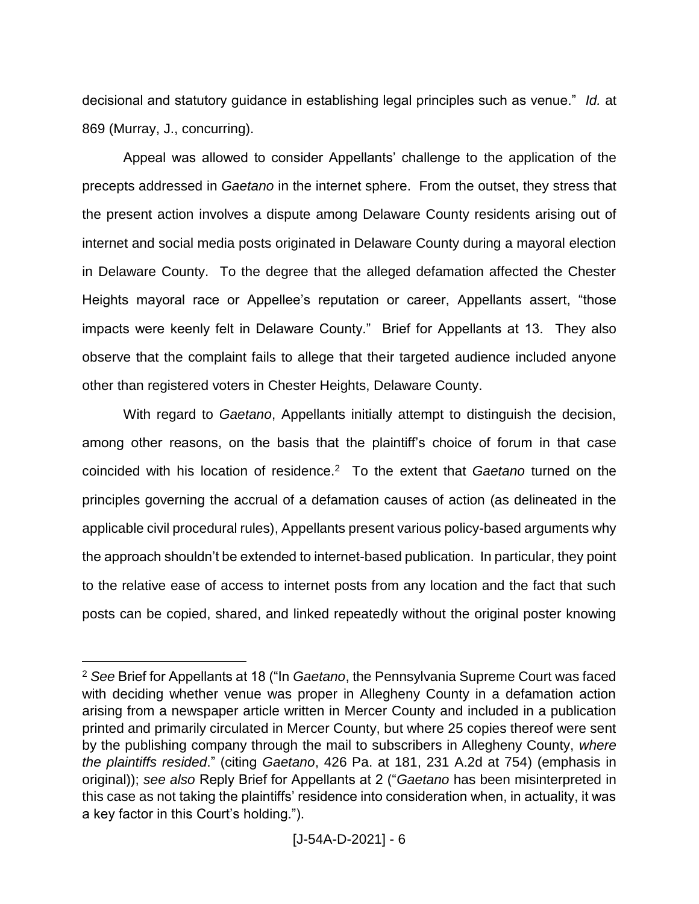decisional and statutory guidance in establishing legal principles such as venue." *Id.* at 869 (Murray, J., concurring).

Appeal was allowed to consider Appellants' challenge to the application of the precepts addressed in *Gaetano* in the internet sphere. From the outset, they stress that the present action involves a dispute among Delaware County residents arising out of internet and social media posts originated in Delaware County during a mayoral election in Delaware County. To the degree that the alleged defamation affected the Chester Heights mayoral race or Appellee's reputation or career, Appellants assert, "those impacts were keenly felt in Delaware County." Brief for Appellants at 13. They also observe that the complaint fails to allege that their targeted audience included anyone other than registered voters in Chester Heights, Delaware County.

With regard to *Gaetano*, Appellants initially attempt to distinguish the decision, among other reasons, on the basis that the plaintiff's choice of forum in that case coincided with his location of residence.<sup>2</sup> To the extent that *Gaetano* turned on the principles governing the accrual of a defamation causes of action (as delineated in the applicable civil procedural rules), Appellants present various policy-based arguments why the approach shouldn't be extended to internet-based publication. In particular, they point to the relative ease of access to internet posts from any location and the fact that such posts can be copied, shared, and linked repeatedly without the original poster knowing

 $\overline{a}$ 

<sup>2</sup> *See* Brief for Appellants at 18 ("In *Gaetano*, the Pennsylvania Supreme Court was faced with deciding whether venue was proper in Allegheny County in a defamation action arising from a newspaper article written in Mercer County and included in a publication printed and primarily circulated in Mercer County, but where 25 copies thereof were sent by the publishing company through the mail to subscribers in Allegheny County, *where the plaintiffs resided*." (citing *Gaetano*, 426 Pa. at 181, 231 A.2d at 754) (emphasis in original)); *see also* Reply Brief for Appellants at 2 ("*Gaetano* has been misinterpreted in this case as not taking the plaintiffs' residence into consideration when, in actuality, it was a key factor in this Court's holding.").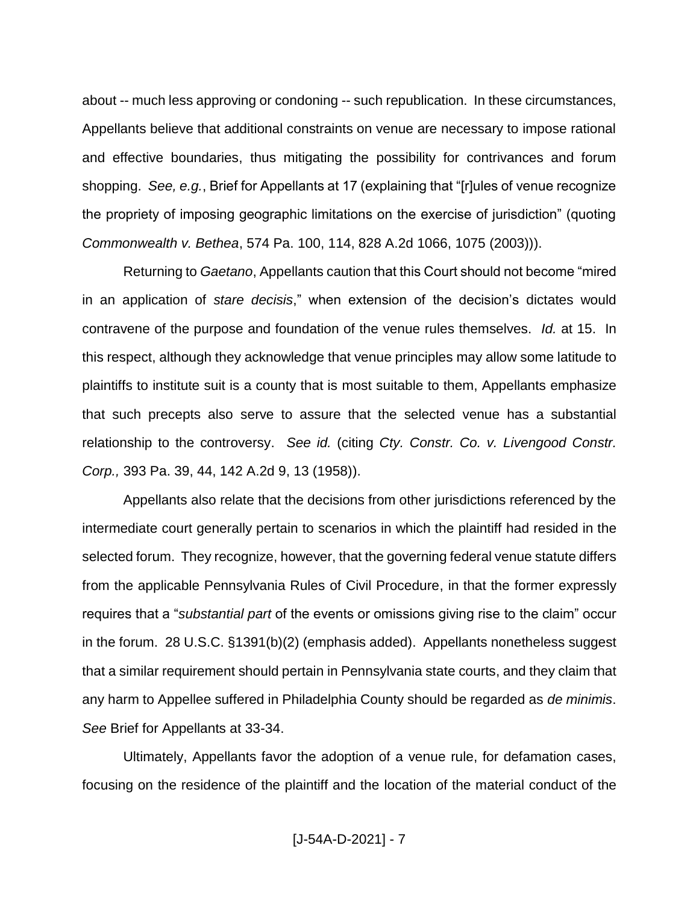about -- much less approving or condoning -- such republication. In these circumstances, Appellants believe that additional constraints on venue are necessary to impose rational and effective boundaries, thus mitigating the possibility for contrivances and forum shopping. *See, e.g.*, Brief for Appellants at 17 (explaining that "[r]ules of venue recognize the propriety of imposing geographic limitations on the exercise of jurisdiction" (quoting *Commonwealth v. Bethea*, 574 Pa. 100, 114, 828 A.2d 1066, 1075 (2003))).

Returning to *Gaetano*, Appellants caution that this Court should not become "mired in an application of *stare decisis*," when extension of the decision's dictates would contravene of the purpose and foundation of the venue rules themselves. *Id.* at 15. In this respect, although they acknowledge that venue principles may allow some latitude to plaintiffs to institute suit is a county that is most suitable to them, Appellants emphasize that such precepts also serve to assure that the selected venue has a substantial relationship to the controversy. *See id.* (citing *Cty. Constr. Co. v. Livengood Constr. Corp.,* 393 Pa. 39, 44, 142 A.2d 9, 13 (1958)).

Appellants also relate that the decisions from other jurisdictions referenced by the intermediate court generally pertain to scenarios in which the plaintiff had resided in the selected forum. They recognize, however, that the governing federal venue statute differs from the applicable Pennsylvania Rules of Civil Procedure, in that the former expressly requires that a "*substantial part* of the events or omissions giving rise to the claim" occur in the forum. 28 U.S.C. §1391(b)(2) (emphasis added). Appellants nonetheless suggest that a similar requirement should pertain in Pennsylvania state courts, and they claim that any harm to Appellee suffered in Philadelphia County should be regarded as *de minimis*. *See* Brief for Appellants at 33-34.

Ultimately, Appellants favor the adoption of a venue rule, for defamation cases, focusing on the residence of the plaintiff and the location of the material conduct of the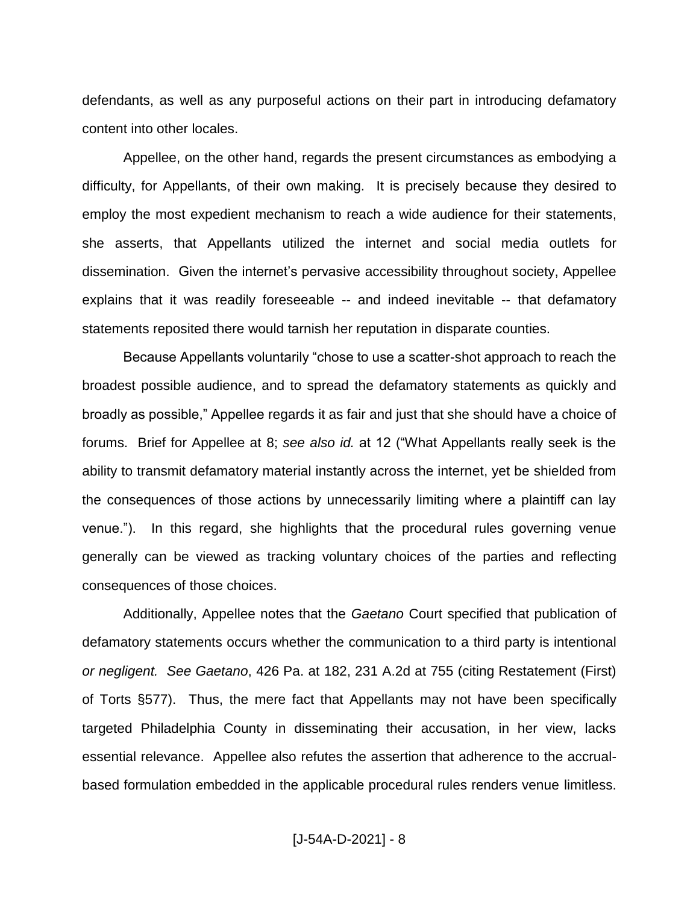defendants, as well as any purposeful actions on their part in introducing defamatory content into other locales.

Appellee, on the other hand, regards the present circumstances as embodying a difficulty, for Appellants, of their own making. It is precisely because they desired to employ the most expedient mechanism to reach a wide audience for their statements, she asserts, that Appellants utilized the internet and social media outlets for dissemination. Given the internet's pervasive accessibility throughout society, Appellee explains that it was readily foreseeable -- and indeed inevitable -- that defamatory statements reposited there would tarnish her reputation in disparate counties.

Because Appellants voluntarily "chose to use a scatter-shot approach to reach the broadest possible audience, and to spread the defamatory statements as quickly and broadly as possible," Appellee regards it as fair and just that she should have a choice of forums. Brief for Appellee at 8; *see also id.* at 12 ("What Appellants really seek is the ability to transmit defamatory material instantly across the internet, yet be shielded from the consequences of those actions by unnecessarily limiting where a plaintiff can lay venue."). In this regard, she highlights that the procedural rules governing venue generally can be viewed as tracking voluntary choices of the parties and reflecting consequences of those choices.

Additionally, Appellee notes that the *Gaetano* Court specified that publication of defamatory statements occurs whether the communication to a third party is intentional *or negligent. See Gaetano*, 426 Pa. at 182, 231 A.2d at 755 (citing Restatement (First) of Torts §577). Thus, the mere fact that Appellants may not have been specifically targeted Philadelphia County in disseminating their accusation, in her view, lacks essential relevance. Appellee also refutes the assertion that adherence to the accrualbased formulation embedded in the applicable procedural rules renders venue limitless.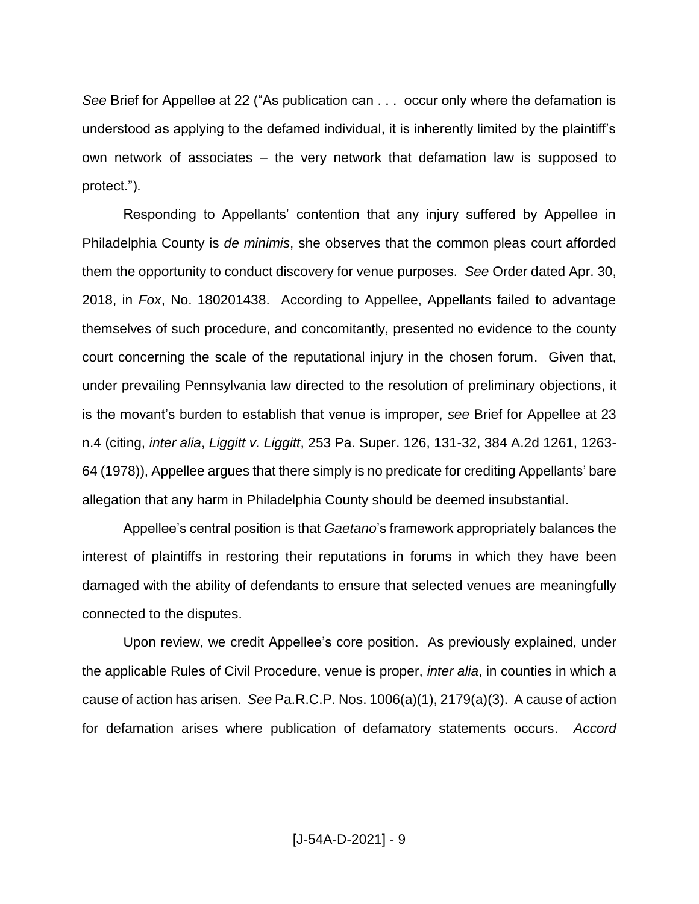*See* Brief for Appellee at 22 ("As publication can . . . occur only where the defamation is understood as applying to the defamed individual, it is inherently limited by the plaintiff's own network of associates – the very network that defamation law is supposed to protect.").

Responding to Appellants' contention that any injury suffered by Appellee in Philadelphia County is *de minimis*, she observes that the common pleas court afforded them the opportunity to conduct discovery for venue purposes. *See* Order dated Apr. 30, 2018, in *Fox*, No. 180201438. According to Appellee, Appellants failed to advantage themselves of such procedure, and concomitantly, presented no evidence to the county court concerning the scale of the reputational injury in the chosen forum. Given that, under prevailing Pennsylvania law directed to the resolution of preliminary objections, it is the movant's burden to establish that venue is improper, *see* Brief for Appellee at 23 n.4 (citing, *inter alia*, *Liggitt v. Liggitt*, 253 Pa. Super. 126, 131-32, 384 A.2d 1261, 1263- 64 (1978)), Appellee argues that there simply is no predicate for crediting Appellants' bare allegation that any harm in Philadelphia County should be deemed insubstantial.

Appellee's central position is that *Gaetano*'s framework appropriately balances the interest of plaintiffs in restoring their reputations in forums in which they have been damaged with the ability of defendants to ensure that selected venues are meaningfully connected to the disputes.

Upon review, we credit Appellee's core position. As previously explained, under the applicable Rules of Civil Procedure, venue is proper, *inter alia*, in counties in which a cause of action has arisen. *See* Pa.R.C.P. Nos. 1006(a)(1), 2179(a)(3). A cause of action for defamation arises where publication of defamatory statements occurs. *Accord*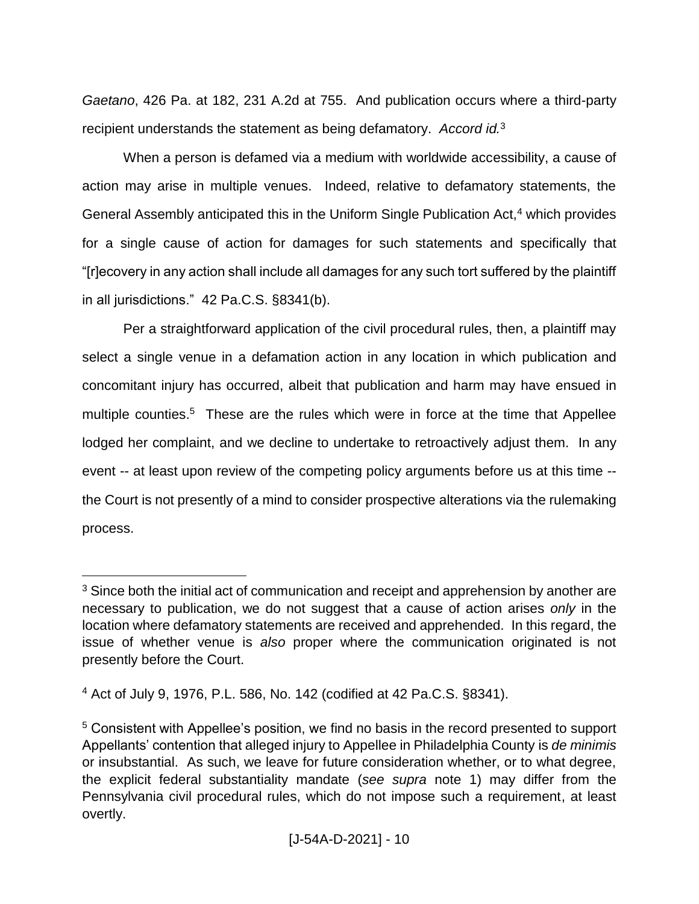*Gaetano*, 426 Pa. at 182, 231 A.2d at 755. And publication occurs where a third-party recipient understands the statement as being defamatory. *Accord id.*<sup>3</sup>

When a person is defamed via a medium with worldwide accessibility, a cause of action may arise in multiple venues. Indeed, relative to defamatory statements, the General Assembly anticipated this in the Uniform Single Publication Act,<sup>4</sup> which provides for a single cause of action for damages for such statements and specifically that "[r]ecovery in any action shall include all damages for any such tort suffered by the plaintiff in all jurisdictions." 42 Pa.C.S. §8341(b).

Per a straightforward application of the civil procedural rules, then, a plaintiff may select a single venue in a defamation action in any location in which publication and concomitant injury has occurred, albeit that publication and harm may have ensued in multiple counties.<sup>5</sup> These are the rules which were in force at the time that Appellee lodged her complaint, and we decline to undertake to retroactively adjust them. In any event -- at least upon review of the competing policy arguments before us at this time - the Court is not presently of a mind to consider prospective alterations via the rulemaking process.

 $\overline{a}$ 

<sup>&</sup>lt;sup>3</sup> Since both the initial act of communication and receipt and apprehension by another are necessary to publication, we do not suggest that a cause of action arises *only* in the location where defamatory statements are received and apprehended. In this regard, the issue of whether venue is *also* proper where the communication originated is not presently before the Court.

<sup>4</sup> Act of July 9, 1976, P.L. 586, No. 142 (codified at 42 Pa.C.S. §8341).

<sup>5</sup> Consistent with Appellee's position, we find no basis in the record presented to support Appellants' contention that alleged injury to Appellee in Philadelphia County is *de minimis* or insubstantial. As such, we leave for future consideration whether, or to what degree, the explicit federal substantiality mandate (*see supra* note 1) may differ from the Pennsylvania civil procedural rules, which do not impose such a requirement, at least overtly.